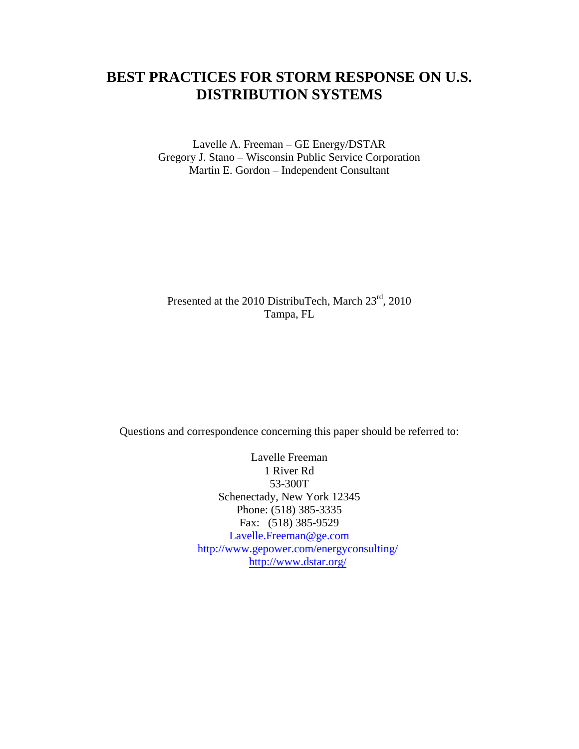# **BEST PRACTICES FOR STORM RESPONSE ON U.S. DISTRIBUTION SYSTEMS**

Lavelle A. Freeman – GE Energy/DSTAR Gregory J. Stano – Wisconsin Public Service Corporation Martin E. Gordon – Independent Consultant

## Presented at the 2010 DistribuTech, March 23rd, 2010 Tampa, FL

Questions and correspondence concerning this paper should be referred to:

Lavelle Freeman 1 River Rd 53-300T Schenectady, New York 12345 Phone: (518) 385-3335 Fax: (518) 385-9529 [Lavelle.Freeman@ge.com](mailto:Lavelle.Freeman@ge.com) <http://www.gepower.com/energyconsulting/> <http://www.dstar.org/>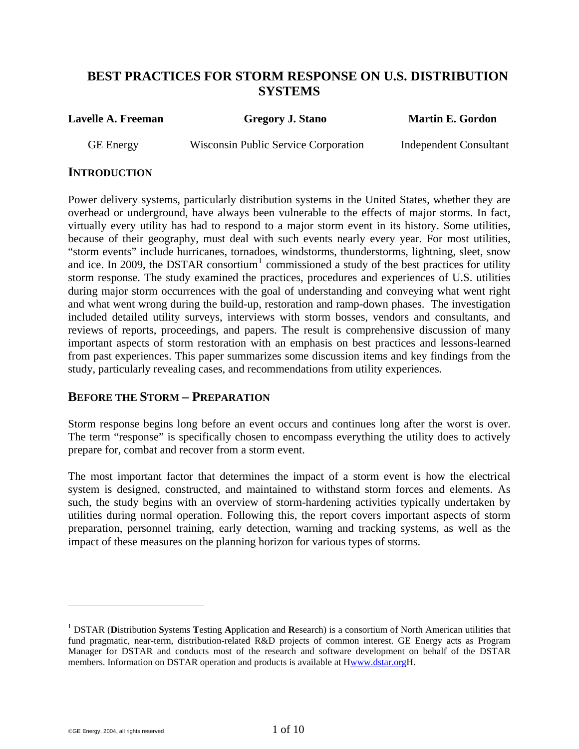## **BEST PRACTICES FOR STORM RESPONSE ON U.S. DISTRIBUTION SYSTEMS**

<span id="page-1-0"></span>**Lavelle A. Freeman Gregory J. Stano Martin E. Gordon**

GE Energy Wisconsin Public Service Corporation Independent Consultant

#### **INTRODUCTION**

Power delivery systems, particularly distribution systems in the United States, whether they are overhead or underground, have always been vulnerable to the effects of major storms. In fact, virtually every utility has had to respond to a major storm event in its history. Some utilities, because of their geography, must deal with such events nearly every year. For most utilities, "storm events" include hurricanes, tornadoes, windstorms, thunderstorms, lightning, sleet, snow and ice. In 2009, the DSTAR consortium<sup>[1](#page-1-0)</sup> commissioned a study of the best practices for utility storm response. The study examined the practices, procedures and experiences of U.S. utilities during major storm occurrences with the goal of understanding and conveying what went right and what went wrong during the build-up, restoration and ramp-down phases. The investigation included detailed utility surveys, interviews with storm bosses, vendors and consultants, and reviews of reports, proceedings, and papers. The result is comprehensive discussion of many important aspects of storm restoration with an emphasis on best practices and lessons-learned from past experiences. This paper summarizes some discussion items and key findings from the study, particularly revealing cases, and recommendations from utility experiences.

### **BEFORE THE STORM – PREPARATION**

Storm response begins long before an event occurs and continues long after the worst is over. The term "response" is specifically chosen to encompass everything the utility does to actively prepare for, combat and recover from a storm event.

The most important factor that determines the impact of a storm event is how the electrical system is designed, constructed, and maintained to withstand storm forces and elements. As such, the study begins with an overview of storm-hardening activities typically undertaken by utilities during normal operation. Following this, the report covers important aspects of storm preparation, personnel training, early detection, warning and tracking systems, as well as the impact of these measures on the planning horizon for various types of storms.

 $\overline{a}$ 

<sup>1</sup> DSTAR (**D**istribution **S**ystems **T**esting **A**pplication and **R**esearch) is a consortium of North American utilities that fund pragmatic, near-term, distribution-related R&D projects of common interest. GE Energy acts as Program Manager for DSTAR and conducts most of the research and software development on behalf of the DSTAR members. Information on DSTAR operation and products is available at Hwww.dstar.orgH.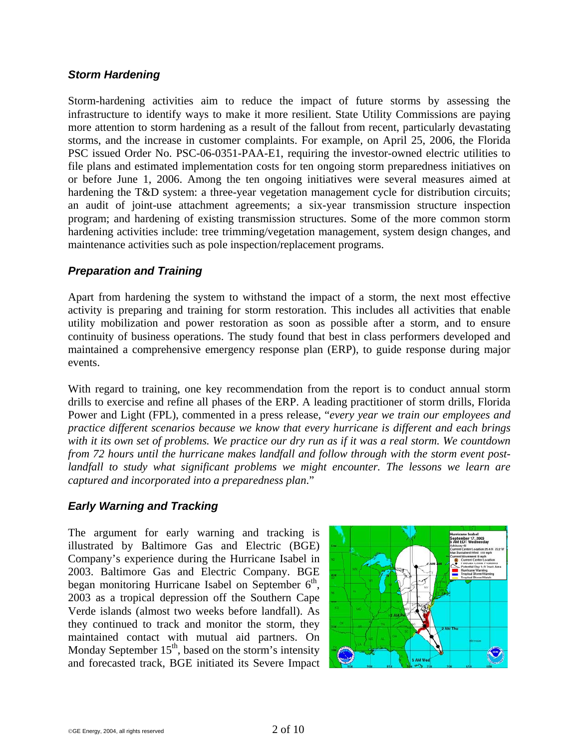#### *Storm Hardening*

Storm-hardening activities aim to reduce the impact of future storms by assessing the infrastructure to identify ways to make it more resilient. State Utility Commissions are paying more attention to storm hardening as a result of the fallout from recent, particularly devastating storms, and the increase in customer complaints. For example, on April 25, 2006, the Florida PSC issued Order No. PSC-06-0351-PAA-E1, requiring the investor-owned electric utilities to file plans and estimated implementation costs for ten ongoing storm preparedness initiatives on or before June 1, 2006. Among the ten ongoing initiatives were several measures aimed at hardening the T&D system: a three-year vegetation management cycle for distribution circuits; an audit of joint-use attachment agreements; a six-year transmission structure inspection program; and hardening of existing transmission structures. Some of the more common storm hardening activities include: tree trimming/vegetation management, system design changes, and maintenance activities such as pole inspection/replacement programs.

#### *Preparation and Training*

Apart from hardening the system to withstand the impact of a storm, the next most effective activity is preparing and training for storm restoration. This includes all activities that enable utility mobilization and power restoration as soon as possible after a storm, and to ensure continuity of business operations. The study found that best in class performers developed and maintained a comprehensive emergency response plan (ERP), to guide response during major events.

With regard to training, one key recommendation from the report is to conduct annual storm drills to exercise and refine all phases of the ERP. A leading practitioner of storm drills, Florida Power and Light (FPL), commented in a press release, "*every year we train our employees and practice different scenarios because we know that every hurricane is different and each brings with it its own set of problems. We practice our dry run as if it was a real storm. We countdown from 72 hours until the hurricane makes landfall and follow through with the storm event post*landfall to study what significant problems we might encounter. The lessons we learn are *captured and incorporated into a preparedness plan*."

### *Early Warning and Tracking*

The argument for early warning and tracking is illustrated by Baltimore Gas and Electric (BGE) Company's experience during the Hurricane Isabel in 2003. Baltimore Gas and Electric Company. BGE began monitoring Hurricane Isabel on September  $6<sup>th</sup>$ , 2003 as a tropical depression off the Southern Cape Verde islands (almost two weeks before landfall). As they continued to track and monitor the storm, they maintained contact with mutual aid partners. On Monday September  $15<sup>th</sup>$ , based on the storm's intensity and forecasted track, BGE initiated its Severe Impact

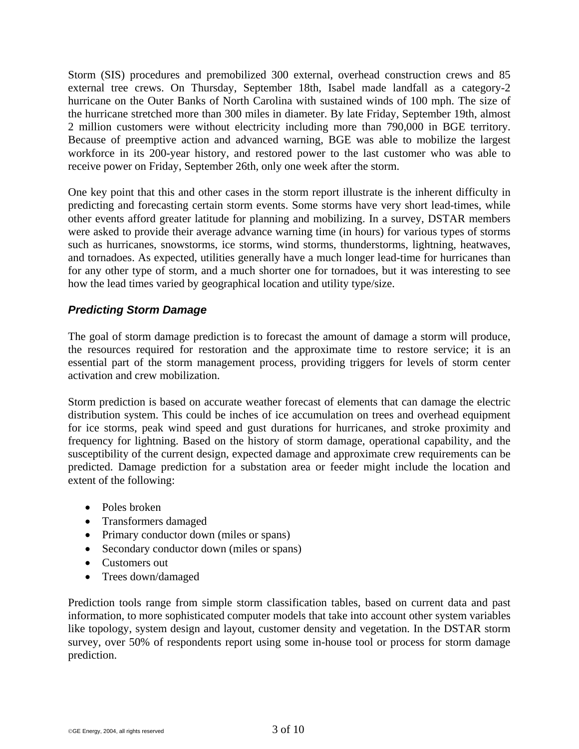Storm (SIS) procedures and premobilized 300 external, overhead construction crews and 85 external tree crews. On Thursday, September 18th, Isabel made landfall as a category-2 hurricane on the Outer Banks of North Carolina with sustained winds of 100 mph. The size of the hurricane stretched more than 300 miles in diameter. By late Friday, September 19th, almost 2 million customers were without electricity including more than 790,000 in BGE territory. Because of preemptive action and advanced warning, BGE was able to mobilize the largest workforce in its 200-year history, and restored power to the last customer who was able to receive power on Friday, September 26th, only one week after the storm.

One key point that this and other cases in the storm report illustrate is the inherent difficulty in predicting and forecasting certain storm events. Some storms have very short lead-times, while other events afford greater latitude for planning and mobilizing. In a survey, DSTAR members were asked to provide their average advance warning time (in hours) for various types of storms such as hurricanes, snowstorms, ice storms, wind storms, thunderstorms, lightning, heatwaves, and tornadoes. As expected, utilities generally have a much longer lead-time for hurricanes than for any other type of storm, and a much shorter one for tornadoes, but it was interesting to see how the lead times varied by geographical location and utility type/size.

### *Predicting Storm Damage*

The goal of storm damage prediction is to forecast the amount of damage a storm will produce, the resources required for restoration and the approximate time to restore service; it is an essential part of the storm management process, providing triggers for levels of storm center activation and crew mobilization.

Storm prediction is based on accurate weather forecast of elements that can damage the electric distribution system. This could be inches of ice accumulation on trees and overhead equipment for ice storms, peak wind speed and gust durations for hurricanes, and stroke proximity and frequency for lightning. Based on the history of storm damage, operational capability, and the susceptibility of the current design, expected damage and approximate crew requirements can be predicted. Damage prediction for a substation area or feeder might include the location and extent of the following:

- Poles broken
- Transformers damaged
- Primary conductor down (miles or spans)
- Secondary conductor down (miles or spans)
- Customers out
- Trees down/damaged

Prediction tools range from simple storm classification tables, based on current data and past information, to more sophisticated computer models that take into account other system variables like topology, system design and layout, customer density and vegetation. In the DSTAR storm survey, over 50% of respondents report using some in-house tool or process for storm damage prediction.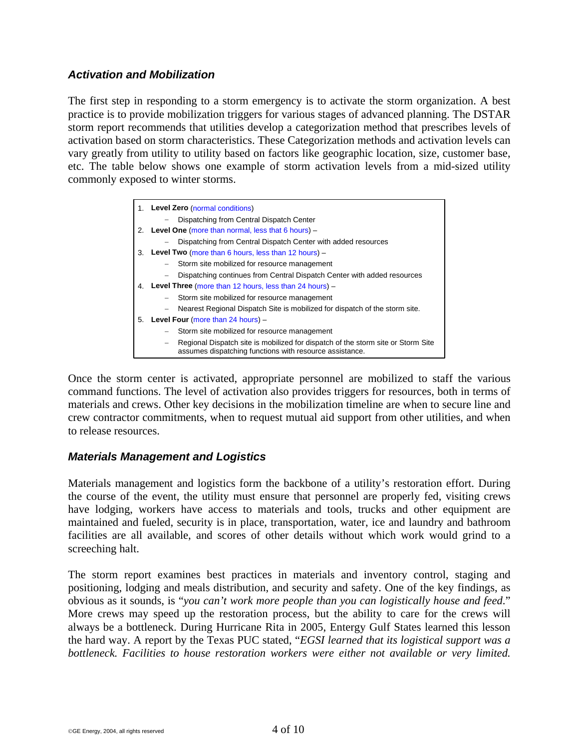### *Activation and Mobilization*

The first step in responding to a storm emergency is to activate the storm organization. A best practice is to provide mobilization triggers for various stages of advanced planning. The DSTAR storm report recommends that utilities develop a categorization method that prescribes levels of activation based on storm characteristics. These Categorization methods and activation levels can vary greatly from utility to utility based on factors like geographic location, size, customer base, etc. The table below shows one example of storm activation levels from a mid-sized utility commonly exposed to winter storms.

|    | 1. Level Zero (normal conditions)                                                                                                           |  |
|----|---------------------------------------------------------------------------------------------------------------------------------------------|--|
|    | Dispatching from Central Dispatch Center                                                                                                    |  |
| 2. | Level One (more than normal, less that $6$ hours) $-$                                                                                       |  |
|    | Dispatching from Central Dispatch Center with added resources                                                                               |  |
| 3. | <b>Level Two</b> (more than 6 hours, less than 12 hours) $-$                                                                                |  |
|    | Storm site mobilized for resource management<br>$\overline{\phantom{m}}$                                                                    |  |
|    | Dispatching continues from Central Dispatch Center with added resources                                                                     |  |
|    | 4. Level Three (more than 12 hours, less than 24 hours) -                                                                                   |  |
|    | Storm site mobilized for resource management                                                                                                |  |
|    | Nearest Regional Dispatch Site is mobilized for dispatch of the storm site.<br>$\qquad \qquad -$                                            |  |
| 5. | <b>Level Four (more than 24 hours)</b> $-$                                                                                                  |  |
|    | Storm site mobilized for resource management                                                                                                |  |
|    | Regional Dispatch site is mobilized for dispatch of the storm site or Storm Site<br>assumes dispatching functions with resource assistance. |  |

Once the storm center is activated, appropriate personnel are mobilized to staff the various command functions. The level of activation also provides triggers for resources, both in terms of materials and crews. Other key decisions in the mobilization timeline are when to secure line and crew contractor commitments, when to request mutual aid support from other utilities, and when to release resources.

#### *Materials Management and Logistics*

Materials management and logistics form the backbone of a utility's restoration effort. During the course of the event, the utility must ensure that personnel are properly fed, visiting crews have lodging, workers have access to materials and tools, trucks and other equipment are maintained and fueled, security is in place, transportation, water, ice and laundry and bathroom facilities are all available, and scores of other details without which work would grind to a screeching halt.

The storm report examines best practices in materials and inventory control, staging and positioning, lodging and meals distribution, and security and safety. One of the key findings, as obvious as it sounds, is "*you can't work more people than you can logistically house and feed*." More crews may speed up the restoration process, but the ability to care for the crews will always be a bottleneck. During Hurricane Rita in 2005, Entergy Gulf States learned this lesson the hard way. A report by the Texas PUC stated, "*EGSI learned that its logistical support was a bottleneck. Facilities to house restoration workers were either not available or very limited.*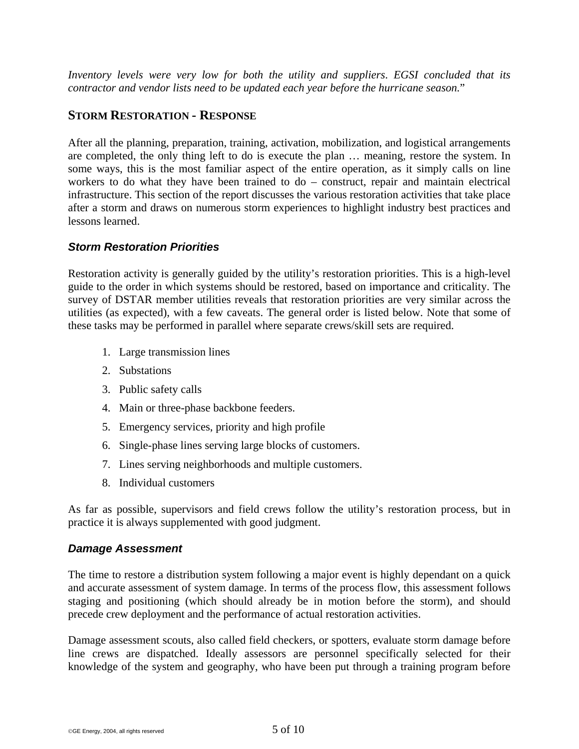*Inventory levels were very low for both the utility and suppliers*. *EGSI concluded that its contractor and vendor lists need to be updated each year before the hurricane season.*"

### **STORM RESTORATION - RESPONSE**

After all the planning, preparation, training, activation, mobilization, and logistical arrangements are completed, the only thing left to do is execute the plan … meaning, restore the system. In some ways, this is the most familiar aspect of the entire operation, as it simply calls on line workers to do what they have been trained to do – construct, repair and maintain electrical infrastructure. This section of the report discusses the various restoration activities that take place after a storm and draws on numerous storm experiences to highlight industry best practices and lessons learned.

### *Storm Restoration Priorities*

Restoration activity is generally guided by the utility's restoration priorities. This is a high-level guide to the order in which systems should be restored, based on importance and criticality. The survey of DSTAR member utilities reveals that restoration priorities are very similar across the utilities (as expected), with a few caveats. The general order is listed below. Note that some of these tasks may be performed in parallel where separate crews/skill sets are required.

- 1. Large transmission lines
- 2. Substations
- 3. Public safety calls
- 4. Main or three-phase backbone feeders.
- 5. Emergency services, priority and high profile
- 6. Single-phase lines serving large blocks of customers.
- 7. Lines serving neighborhoods and multiple customers.
- 8. Individual customers

As far as possible, supervisors and field crews follow the utility's restoration process, but in practice it is always supplemented with good judgment.

#### *Damage Assessment*

The time to restore a distribution system following a major event is highly dependant on a quick and accurate assessment of system damage. In terms of the process flow, this assessment follows staging and positioning (which should already be in motion before the storm), and should precede crew deployment and the performance of actual restoration activities.

Damage assessment scouts, also called field checkers, or spotters, evaluate storm damage before line crews are dispatched. Ideally assessors are personnel specifically selected for their knowledge of the system and geography, who have been put through a training program before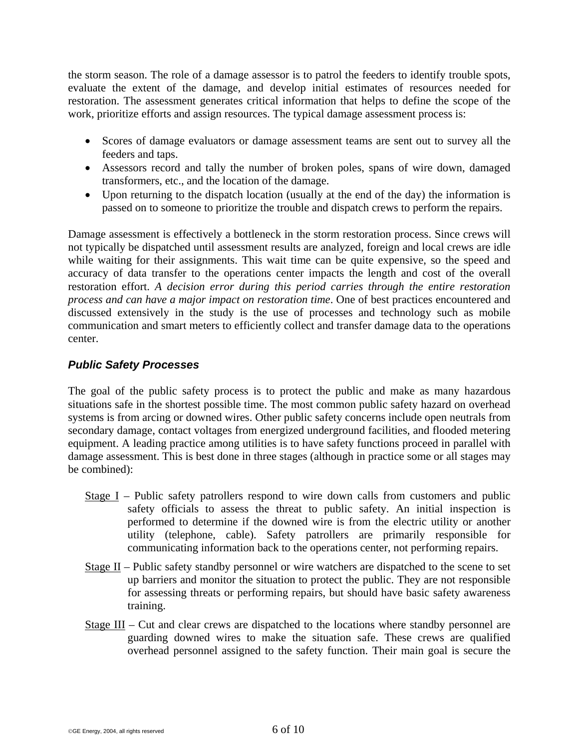the storm season. The role of a damage assessor is to patrol the feeders to identify trouble spots, evaluate the extent of the damage, and develop initial estimates of resources needed for restoration. The assessment generates critical information that helps to define the scope of the work, prioritize efforts and assign resources. The typical damage assessment process is:

- Scores of damage evaluators or damage assessment teams are sent out to survey all the feeders and taps.
- Assessors record and tally the number of broken poles, spans of wire down, damaged transformers, etc., and the location of the damage.
- Upon returning to the dispatch location (usually at the end of the day) the information is passed on to someone to prioritize the trouble and dispatch crews to perform the repairs.

Damage assessment is effectively a bottleneck in the storm restoration process. Since crews will not typically be dispatched until assessment results are analyzed, foreign and local crews are idle while waiting for their assignments. This wait time can be quite expensive, so the speed and accuracy of data transfer to the operations center impacts the length and cost of the overall restoration effort. *A decision error during this period carries through the entire restoration process and can have a major impact on restoration time*. One of best practices encountered and discussed extensively in the study is the use of processes and technology such as mobile communication and smart meters to efficiently collect and transfer damage data to the operations center.

### *Public Safety Processes*

The goal of the public safety process is to protect the public and make as many hazardous situations safe in the shortest possible time. The most common public safety hazard on overhead systems is from arcing or downed wires. Other public safety concerns include open neutrals from secondary damage, contact voltages from energized underground facilities, and flooded metering equipment. A leading practice among utilities is to have safety functions proceed in parallel with damage assessment. This is best done in three stages (although in practice some or all stages may be combined):

- Stage I Public safety patrollers respond to wire down calls from customers and public safety officials to assess the threat to public safety. An initial inspection is performed to determine if the downed wire is from the electric utility or another utility (telephone, cable). Safety patrollers are primarily responsible for communicating information back to the operations center, not performing repairs.
- Stage II Public safety standby personnel or wire watchers are dispatched to the scene to set up barriers and monitor the situation to protect the public. They are not responsible for assessing threats or performing repairs, but should have basic safety awareness training.
- Stage III Cut and clear crews are dispatched to the locations where standby personnel are guarding downed wires to make the situation safe. These crews are qualified overhead personnel assigned to the safety function. Their main goal is secure the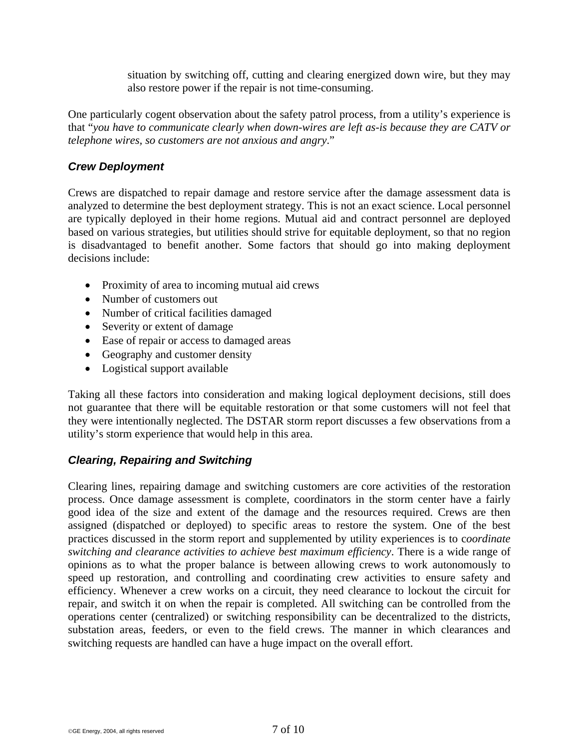situation by switching off, cutting and clearing energized down wire, but they may also restore power if the repair is not time-consuming.

One particularly cogent observation about the safety patrol process, from a utility's experience is that "*you have to communicate clearly when down-wires are left as-is because they are CATV or telephone wires, so customers are not anxious and angry*."

### *Crew Deployment*

Crews are dispatched to repair damage and restore service after the damage assessment data is analyzed to determine the best deployment strategy. This is not an exact science. Local personnel are typically deployed in their home regions. Mutual aid and contract personnel are deployed based on various strategies, but utilities should strive for equitable deployment, so that no region is disadvantaged to benefit another. Some factors that should go into making deployment decisions include:

- Proximity of area to incoming mutual aid crews
- Number of customers out
- Number of critical facilities damaged
- Severity or extent of damage
- Ease of repair or access to damaged areas
- Geography and customer density
- Logistical support available

Taking all these factors into consideration and making logical deployment decisions, still does not guarantee that there will be equitable restoration or that some customers will not feel that they were intentionally neglected. The DSTAR storm report discusses a few observations from a utility's storm experience that would help in this area.

### *Clearing, Repairing and Switching*

Clearing lines, repairing damage and switching customers are core activities of the restoration process. Once damage assessment is complete, coordinators in the storm center have a fairly good idea of the size and extent of the damage and the resources required. Crews are then assigned (dispatched or deployed) to specific areas to restore the system. One of the best practices discussed in the storm report and supplemented by utility experiences is to c*oordinate switching and clearance activities to achieve best maximum efficiency*. There is a wide range of opinions as to what the proper balance is between allowing crews to work autonomously to speed up restoration, and controlling and coordinating crew activities to ensure safety and efficiency. Whenever a crew works on a circuit, they need clearance to lockout the circuit for repair, and switch it on when the repair is completed. All switching can be controlled from the operations center (centralized) or switching responsibility can be decentralized to the districts, substation areas, feeders, or even to the field crews. The manner in which clearances and switching requests are handled can have a huge impact on the overall effort.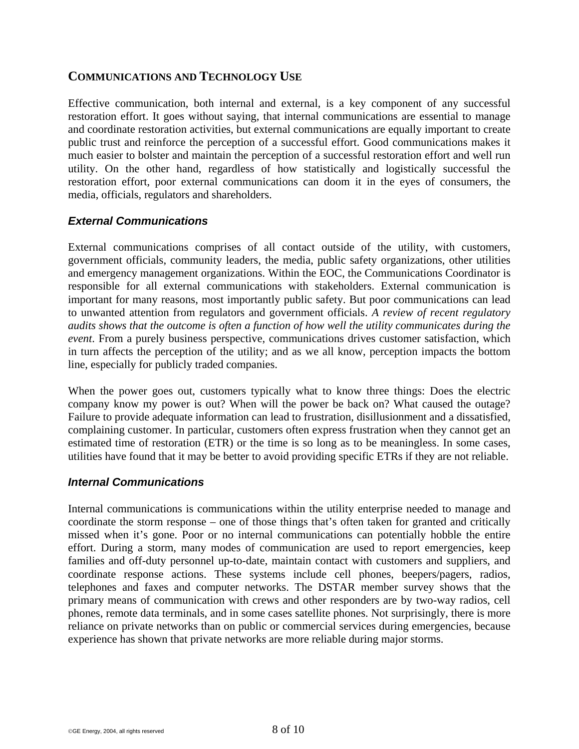### **COMMUNICATIONS AND TECHNOLOGY USE**

Effective communication, both internal and external, is a key component of any successful restoration effort. It goes without saying, that internal communications are essential to manage and coordinate restoration activities, but external communications are equally important to create public trust and reinforce the perception of a successful effort. Good communications makes it much easier to bolster and maintain the perception of a successful restoration effort and well run utility. On the other hand, regardless of how statistically and logistically successful the restoration effort, poor external communications can doom it in the eyes of consumers, the media, officials, regulators and shareholders.

### *External Communications*

External communications comprises of all contact outside of the utility, with customers, government officials, community leaders, the media, public safety organizations, other utilities and emergency management organizations. Within the EOC, the Communications Coordinator is responsible for all external communications with stakeholders. External communication is important for many reasons, most importantly public safety. But poor communications can lead to unwanted attention from regulators and government officials. *A review of recent regulatory audits shows that the outcome is often a function of how well the utility communicates during the event*. From a purely business perspective, communications drives customer satisfaction, which in turn affects the perception of the utility; and as we all know, perception impacts the bottom line, especially for publicly traded companies.

When the power goes out, customers typically what to know three things: Does the electric company know my power is out? When will the power be back on? What caused the outage? Failure to provide adequate information can lead to frustration, disillusionment and a dissatisfied, complaining customer. In particular, customers often express frustration when they cannot get an estimated time of restoration (ETR) or the time is so long as to be meaningless. In some cases, utilities have found that it may be better to avoid providing specific ETRs if they are not reliable.

#### *Internal Communications*

Internal communications is communications within the utility enterprise needed to manage and coordinate the storm response – one of those things that's often taken for granted and critically missed when it's gone. Poor or no internal communications can potentially hobble the entire effort. During a storm, many modes of communication are used to report emergencies, keep families and off-duty personnel up-to-date, maintain contact with customers and suppliers, and coordinate response actions. These systems include cell phones, beepers/pagers, radios, telephones and faxes and computer networks. The DSTAR member survey shows that the primary means of communication with crews and other responders are by two-way radios, cell phones, remote data terminals, and in some cases satellite phones. Not surprisingly, there is more reliance on private networks than on public or commercial services during emergencies, because experience has shown that private networks are more reliable during major storms.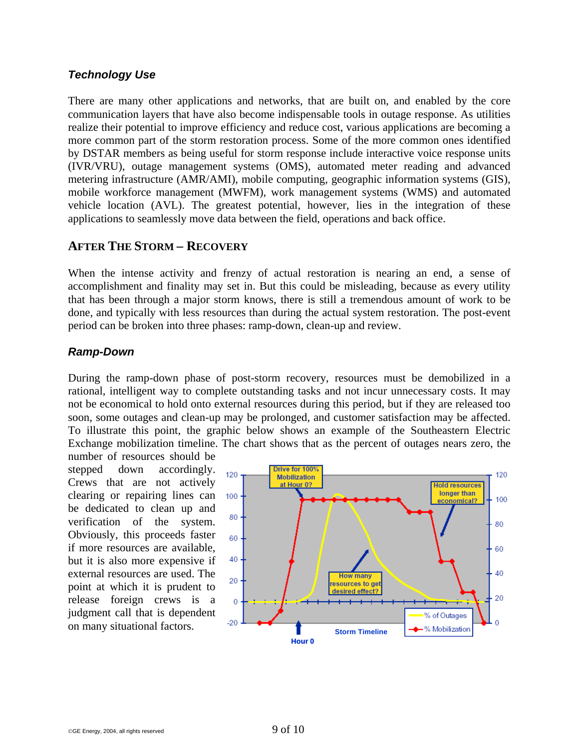### *Technology Use*

There are many other applications and networks, that are built on, and enabled by the core communication layers that have also become indispensable tools in outage response. As utilities realize their potential to improve efficiency and reduce cost, various applications are becoming a more common part of the storm restoration process. Some of the more common ones identified by DSTAR members as being useful for storm response include interactive voice response units (IVR/VRU), outage management systems (OMS), automated meter reading and advanced metering infrastructure (AMR/AMI), mobile computing, geographic information systems (GIS), mobile workforce management (MWFM), work management systems (WMS) and automated vehicle location (AVL). The greatest potential, however, lies in the integration of these applications to seamlessly move data between the field, operations and back office.

### **AFTER THE STORM – RECOVERY**

When the intense activity and frenzy of actual restoration is nearing an end, a sense of accomplishment and finality may set in. But this could be misleading, because as every utility that has been through a major storm knows, there is still a tremendous amount of work to be done, and typically with less resources than during the actual system restoration. The post-event period can be broken into three phases: ramp-down, clean-up and review.

### *Ramp-Down*

During the ramp-down phase of post-storm recovery, resources must be demobilized in a rational, intelligent way to complete outstanding tasks and not incur unnecessary costs. It may not be economical to hold onto external resources during this period, but if they are released too soon, some outages and clean-up may be prolonged, and customer satisfaction may be affected. To illustrate this point, the graphic below shows an example of the Southeastern Electric Exchange mobilization timeline. The chart shows that as the percent of outages nears zero, the

number of resources should be stepped down accordingly. Crews that are not actively clearing or repairing lines can be dedicated to clean up and verification of the system. Obviously, this proceeds faster if more resources are available, but it is also more expensive if external resources are used. The point at which it is prudent to release foreign crews is a judgment call that is dependent on many situational factors.